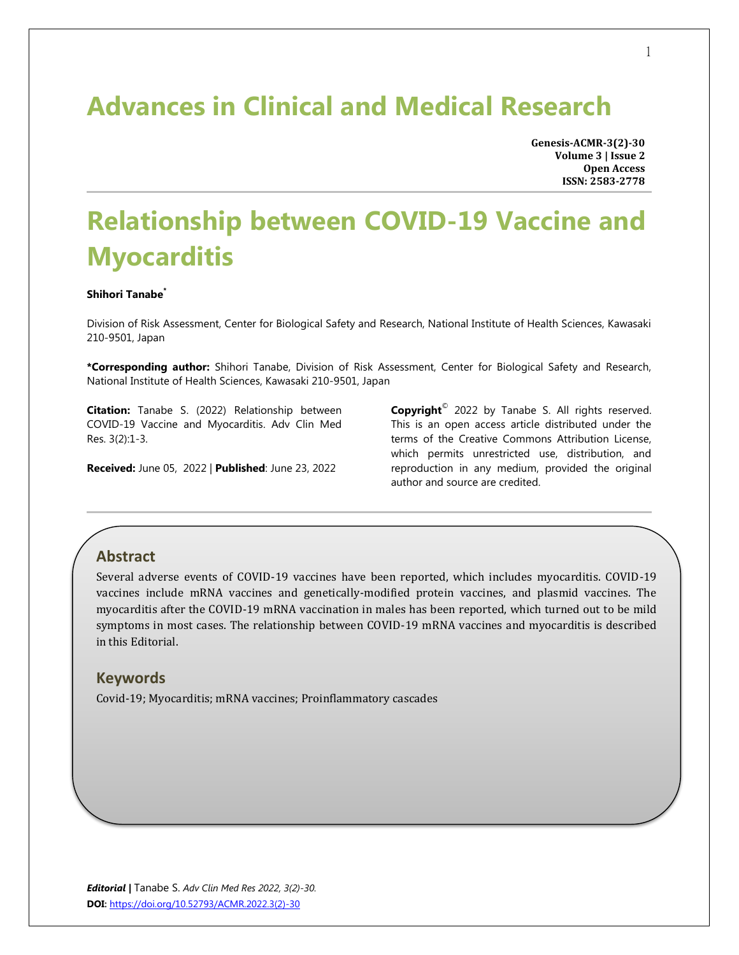## **Advances in Clinical and Medical Research**

**Genesis-ACMR-3(2)-30 Volume 3 | Issue 2 Open Access ISSN: 2583-2778**

# **Relationship between COVID-19 Vaccine and Myocarditis**

#### **Shihori Tanabe\***

Division of Risk Assessment, Center for Biological Safety and Research, National Institute of Health Sciences, Kawasaki 210-9501, Japan

**\*Corresponding author:** Shihori Tanabe, Division of Risk Assessment, Center for Biological Safety and Research, National Institute of Health Sciences, Kawasaki 210-9501, Japan

**Citation:** Tanabe S. (2022) Relationship between COVID-19 Vaccine and Myocarditis. Adv Clin Med Res. 3(2):1-3.

**Received:** June 05, 2022 | **Published**: June 23, 2022

**Copyright**© 2022 by Tanabe S. All rights reserved. This is an open access article distributed under the terms of the Creative Commons Attribution License, which permits unrestricted use, distribution, and reproduction in any medium, provided the original author and source are credited.

### **Abstract**

Several adverse events of COVID-19 vaccines have been reported, which includes myocarditis. COVID-19 vaccines include mRNA vaccines and genetically-modified protein vaccines, and plasmid vaccines. The myocarditis after the COVID-19 mRNA vaccination in males has been reported, which turned out to be mild symptoms in most cases. The relationship between COVID-19 mRNA vaccines and myocarditis is described in this Editorial.

#### **Keywords**

Covid-19; Myocarditis; mRNA vaccines; Proinflammatory cascades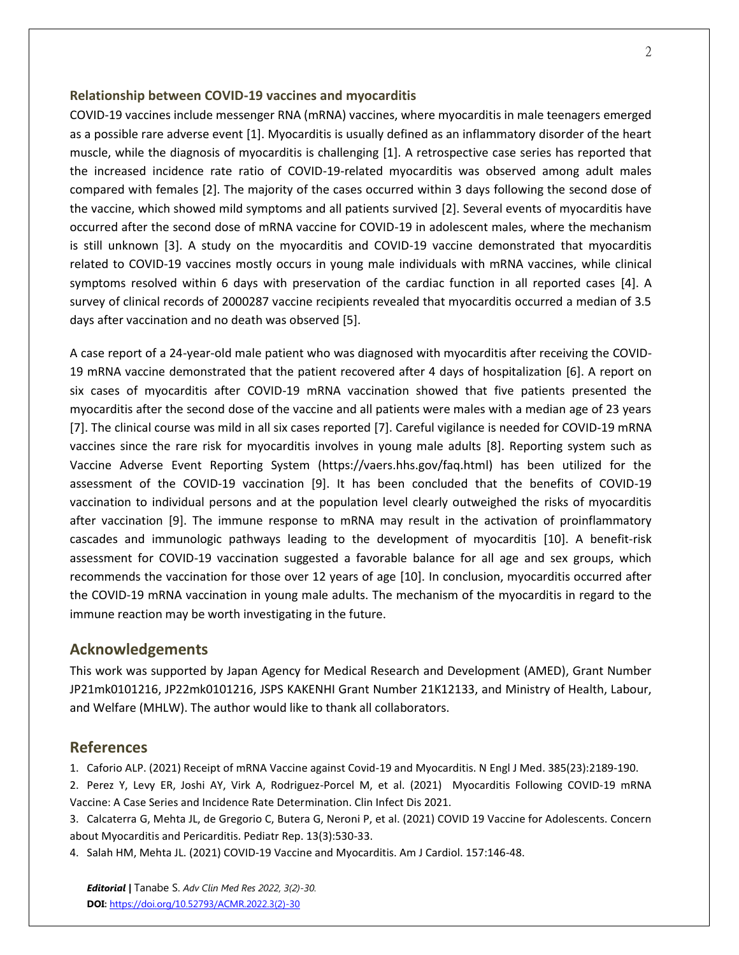#### **Relationship between COVID-19 vaccines and myocarditis**

COVID-19 vaccines include messenger RNA (mRNA) vaccines, where myocarditis in male teenagers emerged as a possible rare adverse event [1]. Myocarditis is usually defined as an inflammatory disorder of the heart muscle, while the diagnosis of myocarditis is challenging [1]. A retrospective case series has reported that the increased incidence rate ratio of COVID-19-related myocarditis was observed among adult males compared with females [2]. The majority of the cases occurred within 3 days following the second dose of the vaccine, which showed mild symptoms and all patients survived [2]. Several events of myocarditis have occurred after the second dose of mRNA vaccine for COVID-19 in adolescent males, where the mechanism is still unknown [3]. A study on the myocarditis and COVID-19 vaccine demonstrated that myocarditis related to COVID-19 vaccines mostly occurs in young male individuals with mRNA vaccines, while clinical symptoms resolved within 6 days with preservation of the cardiac function in all reported cases [4]. A survey of clinical records of 2000287 vaccine recipients revealed that myocarditis occurred a median of 3.5 days after vaccination and no death was observed [5].

A case report of a 24-year-old male patient who was diagnosed with myocarditis after receiving the COVID-19 mRNA vaccine demonstrated that the patient recovered after 4 days of hospitalization [6]. A report on six cases of myocarditis after COVID-19 mRNA vaccination showed that five patients presented the myocarditis after the second dose of the vaccine and all patients were males with a median age of 23 years [7]. The clinical course was mild in all six cases reported [7]. Careful vigilance is needed for COVID-19 mRNA vaccines since the rare risk for myocarditis involves in young male adults [8]. Reporting system such as Vaccine Adverse Event Reporting System (https://vaers.hhs.gov/faq.html) has been utilized for the assessment of the COVID-19 vaccination [9]. It has been concluded that the benefits of COVID-19 vaccination to individual persons and at the population level clearly outweighed the risks of myocarditis after vaccination [9]. The immune response to mRNA may result in the activation of proinflammatory cascades and immunologic pathways leading to the development of myocarditis [10]. A benefit-risk assessment for COVID-19 vaccination suggested a favorable balance for all age and sex groups, which recommends the vaccination for those over 12 years of age [10]. In conclusion, myocarditis occurred after the COVID-19 mRNA vaccination in young male adults. The mechanism of the myocarditis in regard to the immune reaction may be worth investigating in the future.

#### **Acknowledgements**

This work was supported by Japan Agency for Medical Research and Development (AMED), Grant Number JP21mk0101216, JP22mk0101216, JSPS KAKENHI Grant Number 21K12133, and Ministry of Health, Labour, and Welfare (MHLW). The author would like to thank all collaborators.

#### **References**

1. Caforio ALP. (2021) Receipt of mRNA Vaccine against Covid-19 and Myocarditis. N Engl J Med. 385(23):2189-190.

2. Perez Y, Levy ER, Joshi AY, Virk A, Rodriguez-Porcel M, et al. (2021) Myocarditis Following COVID-19 mRNA Vaccine: A Case Series and Incidence Rate Determination. Clin Infect Dis 2021.

3. Calcaterra G, Mehta JL, de Gregorio C, Butera G, Neroni P, et al. (2021) COVID 19 Vaccine for Adolescents. Concern about Myocarditis and Pericarditis. Pediatr Rep. 13(3):530-33.

4. Salah HM, Mehta JL. (2021) COVID-19 Vaccine and Myocarditis. Am J Cardiol. 157:146-48.